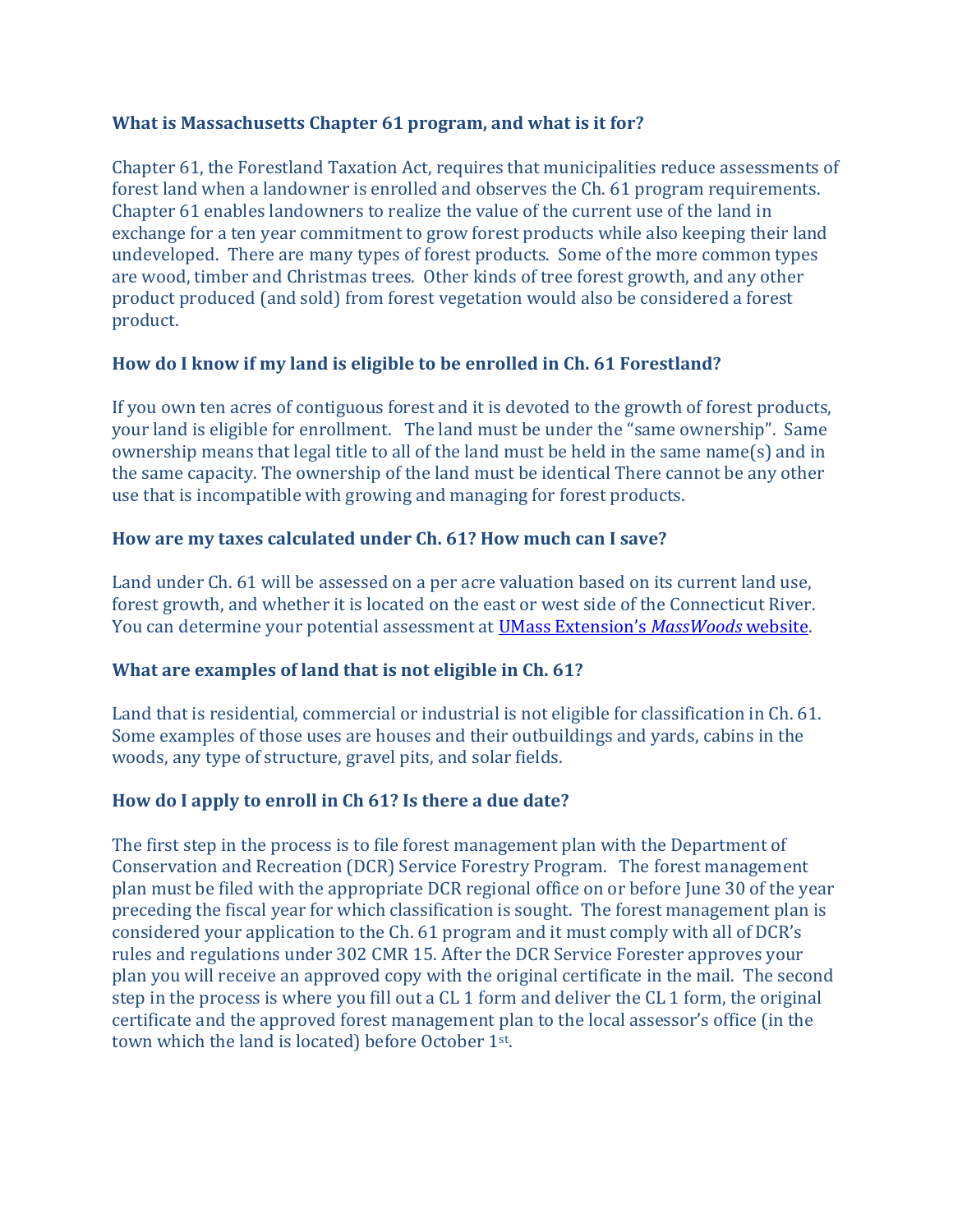## What is Massachusetts Chapter 61 program, and what is it for?

Chapter 61, the Forestland Taxation Act, requires that municipalities reduce assessments of forest land when a landowner is enrolled and observes the Ch. 61 program requirements. Chapter 61 enables landowners to realize the value of the current use of the land in exchange for a ten year commitment to grow forest products while also keeping their land undeveloped. There are many types of forest products. Some of the more common types are wood, timber and Christmas trees. Other kinds of tree forest growth, and any other product produced (and sold) from forest vegetation would also be considered a forest product.

# How do I know if my land is eligible to be enrolled in Ch. 61 Forestland?

If you own ten acres of contiguous forest and it is devoted to the growth of forest products, your land is eligible for enrollment. The land must be under the "same ownership". Same ownership means that legal title to all of the land must be held in the same name(s) and in the same capacity. The ownership of the land must be identical There cannot be any other use that is incompatible with growing and managing for forest products.

# How are my taxes calculated under Ch. 61? How much can I save?

Land under Ch. 61 will be assessed on a per acre valuation based on its current land use, forest growth, and whether it is located on the east or west side of the Connecticut River. You can determine your potential assessment at UMass Extension's MassWoods website.

# What are examples of land that is not eligible in Ch. 61?

Land that is residential, commercial or industrial is not eligible for classification in Ch. 61. Some examples of those uses are houses and their outbuildings and yards, cabins in the woods, any type of structure, gravel pits, and solar fields.

# How do I apply to enroll in Ch 61? Is there a due date?

The first step in the process is to file forest management plan with the Department of Conservation and Recreation (DCR) Service Forestry Program. The forest management plan must be filed with the appropriate DCR regional office on or before June 30 of the year preceding the fiscal year for which classification is sought. The forest management plan is considered your application to the Ch. 61 program and it must comply with all of DCR's rules and regulations under 302 CMR 15. After the DCR Service Forester approves your plan you will receive an approved copy with the original certificate in the mail. The second step in the process is where you fill out a CL 1 form and deliver the CL 1 form, the original certificate and the approved forest management plan to the local assessor's office (in the town which the land is located) before October 1st.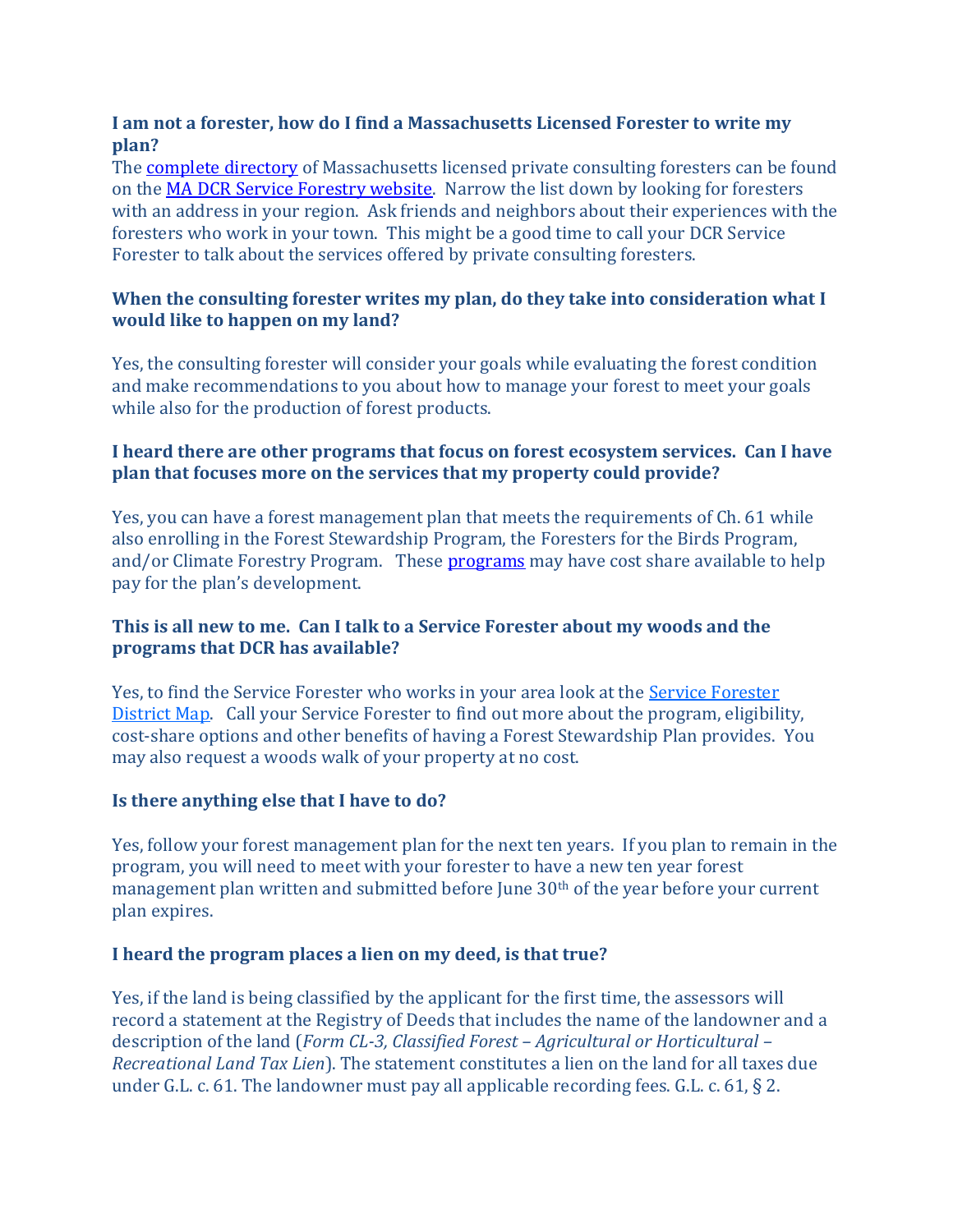#### I am not a forester, how do I find a Massachusetts Licensed Forester to write my plan?

The complete directory of Massachusetts licensed private consulting foresters can be found on the MA DCR Service Forestry website. Narrow the list down by looking for foresters with an address in your region. Ask friends and neighbors about their experiences with the foresters who work in your town. This might be a good time to call your DCR Service Forester to talk about the services offered by private consulting foresters.

#### When the consulting forester writes my plan, do they take into consideration what I would like to happen on my land?

Yes, the consulting forester will consider your goals while evaluating the forest condition and make recommendations to you about how to manage your forest to meet your goals while also for the production of forest products.

## I heard there are other programs that focus on forest ecosystem services. Can I have plan that focuses more on the services that my property could provide?

Yes, you can have a forest management plan that meets the requirements of Ch. 61 while also enrolling in the Forest Stewardship Program, the Foresters for the Birds Program, and/or Climate Forestry Program. These programs may have cost share available to help pay for the plan's development.

## This is all new to me. Can I talk to a Service Forester about my woods and the programs that DCR has available?

Yes, to find the Service Forester who works in your area look at the Service Forester District Map. Call your Service Forester to find out more about the program, eligibility, cost-share options and other benefits of having a Forest Stewardship Plan provides. You may also request a woods walk of your property at no cost.

#### Is there anything else that I have to do?

Yes, follow your forest management plan for the next ten years. If you plan to remain in the program, you will need to meet with your forester to have a new ten year forest management plan written and submitted before June 30<sup>th</sup> of the year before your current plan expires.

# I heard the program places a lien on my deed, is that true?

Yes, if the land is being classified by the applicant for the first time, the assessors will record a statement at the Registry of Deeds that includes the name of the landowner and a description of the land (Form CL-3, Classified Forest – Agricultural or Horticultural – Recreational Land Tax Lien). The statement constitutes a lien on the land for all taxes due under G.L. c. 61. The landowner must pay all applicable recording fees. G.L. c. 61, § 2.